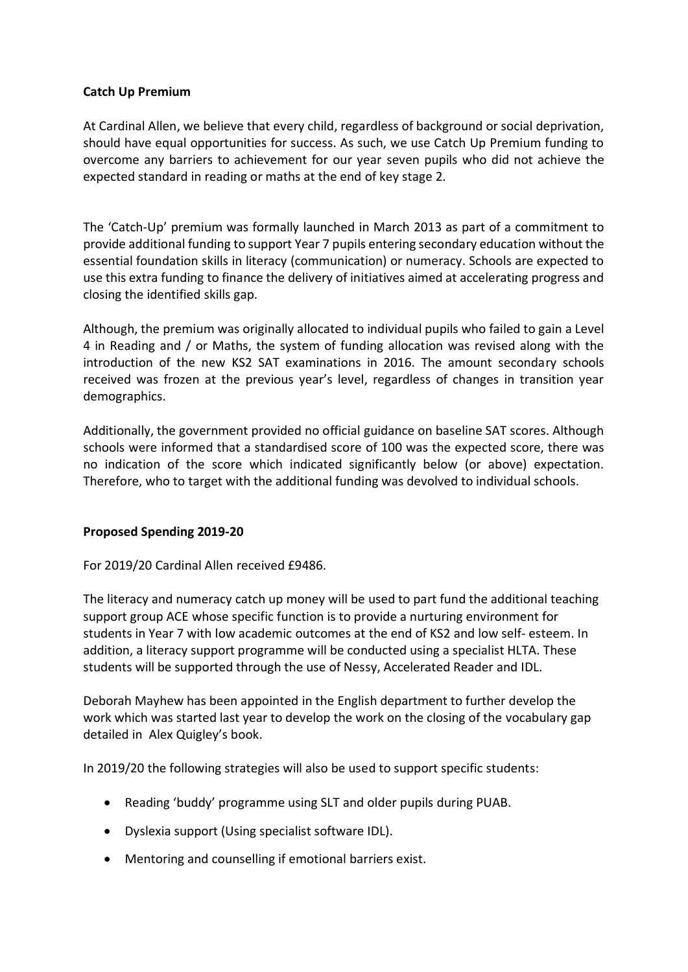# **Catch Up Premium**

At Cardinal Allen, we believe that every child, regardless of background or social deprivation, should have equal opportunities for success. As such, we use Catch Up Premium funding to overcome any barriers to achievement for our year seven pupils who did not achieve the expected standard in reading or maths at the end of key stage 2.

The 'Catch-Up' premium was formally launched in March 2013 as part of a commitment to provide additional funding to support Year 7 pupils entering secondary education without the essential foundation skills in literacy (communication) or numeracy. Schools are expected to use this extra funding to finance the delivery of initiatives aimed at accelerating progress and closing the identified skills gap.

Although, the premium was originally allocated to individual pupils who failed to gain a Level 4 in Reading and / or Maths, the system of funding allocation was revised along with the introduction of the new KS2 SAT examinations in 2016. The amount secondary schools received was frozen at the previous year's level, regardless of changes in transition year demographics.

Additionally, the government provided no official guidance on baseline SAT scores. Although schools were informed that a standardised score of 100 was the expected score, there was no indication of the score which indicated significantly below (or above) expectation. Therefore, who to target with the additional funding was devolved to individual schools.

## **Proposed Spending 2019-20**

For 2019/20 Cardinal Allen received £9486.

The literacy and numeracy catch up money will be used to part fund the additional teaching support group ACE whose specific function is to provide a nurturing environment for students in Year 7 with low academic outcomes at the end of KS2 and low self- esteem. In addition, a literacy support programme will be conducted using a specialist HLTA. These students will be supported through the use of Nessy, Accelerated Reader and IDL.

Deborah Mayhew has been appointed in the English department to further develop the work which was started last year to develop the work on the closing of the vocabulary gap detailed in Alex Quigley's book.

In 2019/20 the following strategies will also be used to support specific students:

- Reading 'buddy' programme using SLT and older pupils during PUAB.
- Dyslexia support (Using specialist software IDL).
- Mentoring and counselling if emotional barriers exist.